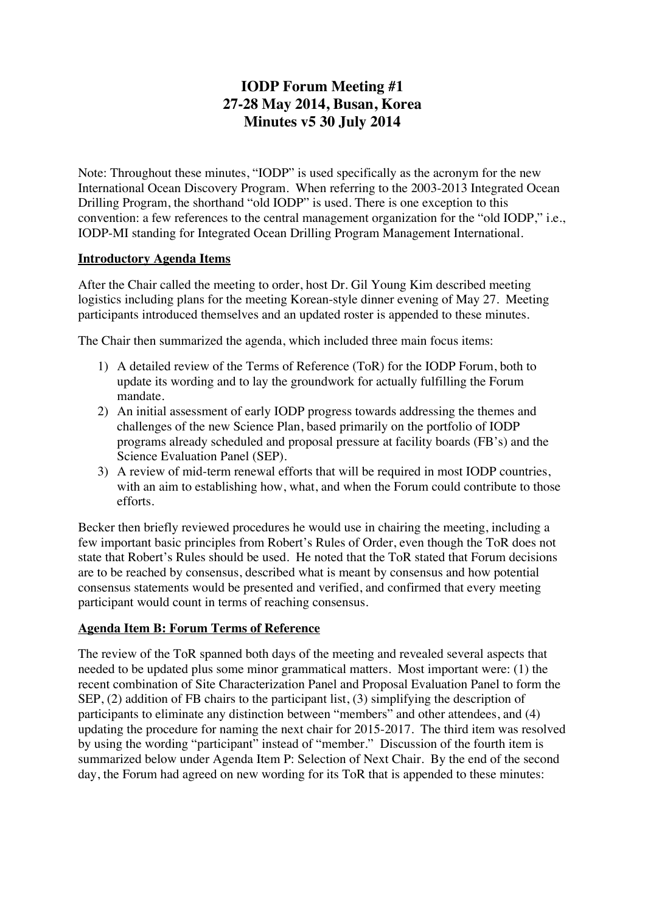# **IODP Forum Meeting #1 27-28 May 2014, Busan, Korea Minutes v5 30 July 2014**

Note: Throughout these minutes, "IODP" is used specifically as the acronym for the new International Ocean Discovery Program. When referring to the 2003-2013 Integrated Ocean Drilling Program, the shorthand "old IODP" is used. There is one exception to this convention: a few references to the central management organization for the "old IODP," i.e., IODP-MI standing for Integrated Ocean Drilling Program Management International.

#### **Introductory Agenda Items**

After the Chair called the meeting to order, host Dr. Gil Young Kim described meeting logistics including plans for the meeting Korean-style dinner evening of May 27. Meeting participants introduced themselves and an updated roster is appended to these minutes.

The Chair then summarized the agenda, which included three main focus items:

- 1) A detailed review of the Terms of Reference (ToR) for the IODP Forum, both to update its wording and to lay the groundwork for actually fulfilling the Forum mandate.
- 2) An initial assessment of early IODP progress towards addressing the themes and challenges of the new Science Plan, based primarily on the portfolio of IODP programs already scheduled and proposal pressure at facility boards (FB's) and the Science Evaluation Panel (SEP).
- 3) A review of mid-term renewal efforts that will be required in most IODP countries, with an aim to establishing how, what, and when the Forum could contribute to those efforts.

Becker then briefly reviewed procedures he would use in chairing the meeting, including a few important basic principles from Robert's Rules of Order, even though the ToR does not state that Robert's Rules should be used. He noted that the ToR stated that Forum decisions are to be reached by consensus, described what is meant by consensus and how potential consensus statements would be presented and verified, and confirmed that every meeting participant would count in terms of reaching consensus.

#### **Agenda Item B: Forum Terms of Reference**

The review of the ToR spanned both days of the meeting and revealed several aspects that needed to be updated plus some minor grammatical matters. Most important were: (1) the recent combination of Site Characterization Panel and Proposal Evaluation Panel to form the SEP, (2) addition of FB chairs to the participant list, (3) simplifying the description of participants to eliminate any distinction between "members" and other attendees, and (4) updating the procedure for naming the next chair for 2015-2017. The third item was resolved by using the wording "participant" instead of "member." Discussion of the fourth item is summarized below under Agenda Item P: Selection of Next Chair. By the end of the second day, the Forum had agreed on new wording for its ToR that is appended to these minutes: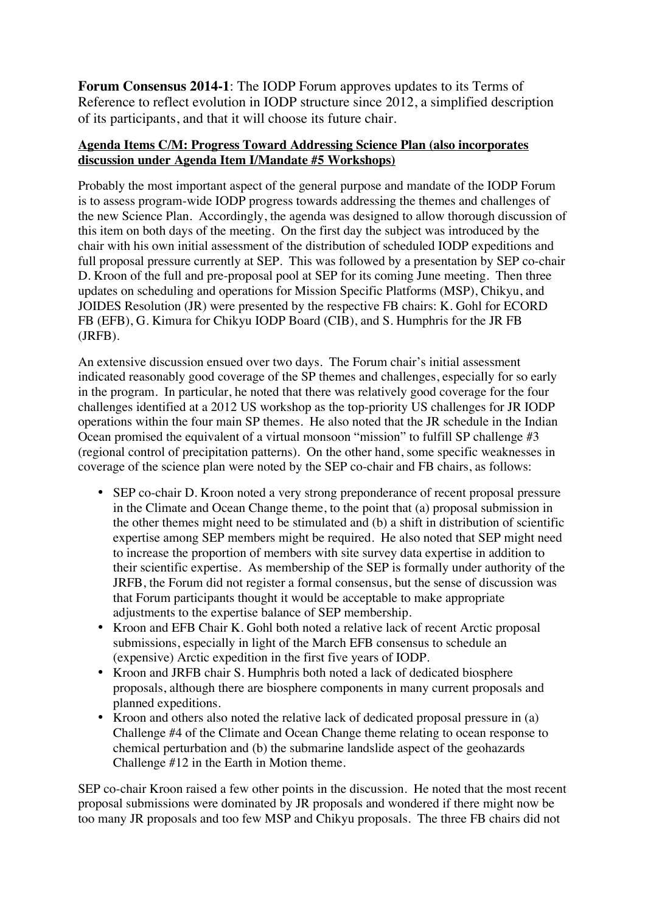**Forum Consensus 2014-1**: The IODP Forum approves updates to its Terms of Reference to reflect evolution in IODP structure since 2012, a simplified description of its participants, and that it will choose its future chair.

#### **Agenda Items C/M: Progress Toward Addressing Science Plan (also incorporates discussion under Agenda Item I/Mandate #5 Workshops)**

Probably the most important aspect of the general purpose and mandate of the IODP Forum is to assess program-wide IODP progress towards addressing the themes and challenges of the new Science Plan. Accordingly, the agenda was designed to allow thorough discussion of this item on both days of the meeting. On the first day the subject was introduced by the chair with his own initial assessment of the distribution of scheduled IODP expeditions and full proposal pressure currently at SEP. This was followed by a presentation by SEP co-chair D. Kroon of the full and pre-proposal pool at SEP for its coming June meeting. Then three updates on scheduling and operations for Mission Specific Platforms (MSP), Chikyu, and JOIDES Resolution (JR) were presented by the respective FB chairs: K. Gohl for ECORD FB (EFB), G. Kimura for Chikyu IODP Board (CIB), and S. Humphris for the JR FB (JRFB).

An extensive discussion ensued over two days. The Forum chair's initial assessment indicated reasonably good coverage of the SP themes and challenges, especially for so early in the program. In particular, he noted that there was relatively good coverage for the four challenges identified at a 2012 US workshop as the top-priority US challenges for JR IODP operations within the four main SP themes. He also noted that the JR schedule in the Indian Ocean promised the equivalent of a virtual monsoon "mission" to fulfill SP challenge #3 (regional control of precipitation patterns). On the other hand, some specific weaknesses in coverage of the science plan were noted by the SEP co-chair and FB chairs, as follows:

- SEP co-chair D. Kroon noted a very strong preponderance of recent proposal pressure in the Climate and Ocean Change theme, to the point that (a) proposal submission in the other themes might need to be stimulated and (b) a shift in distribution of scientific expertise among SEP members might be required. He also noted that SEP might need to increase the proportion of members with site survey data expertise in addition to their scientific expertise. As membership of the SEP is formally under authority of the JRFB, the Forum did not register a formal consensus, but the sense of discussion was that Forum participants thought it would be acceptable to make appropriate adjustments to the expertise balance of SEP membership.
- Kroon and EFB Chair K. Gohl both noted a relative lack of recent Arctic proposal submissions, especially in light of the March EFB consensus to schedule an (expensive) Arctic expedition in the first five years of IODP.
- Kroon and JRFB chair S. Humphris both noted a lack of dedicated biosphere proposals, although there are biosphere components in many current proposals and planned expeditions.
- Kroon and others also noted the relative lack of dedicated proposal pressure in (a) Challenge #4 of the Climate and Ocean Change theme relating to ocean response to chemical perturbation and (b) the submarine landslide aspect of the geohazards Challenge #12 in the Earth in Motion theme.

SEP co-chair Kroon raised a few other points in the discussion. He noted that the most recent proposal submissions were dominated by JR proposals and wondered if there might now be too many JR proposals and too few MSP and Chikyu proposals. The three FB chairs did not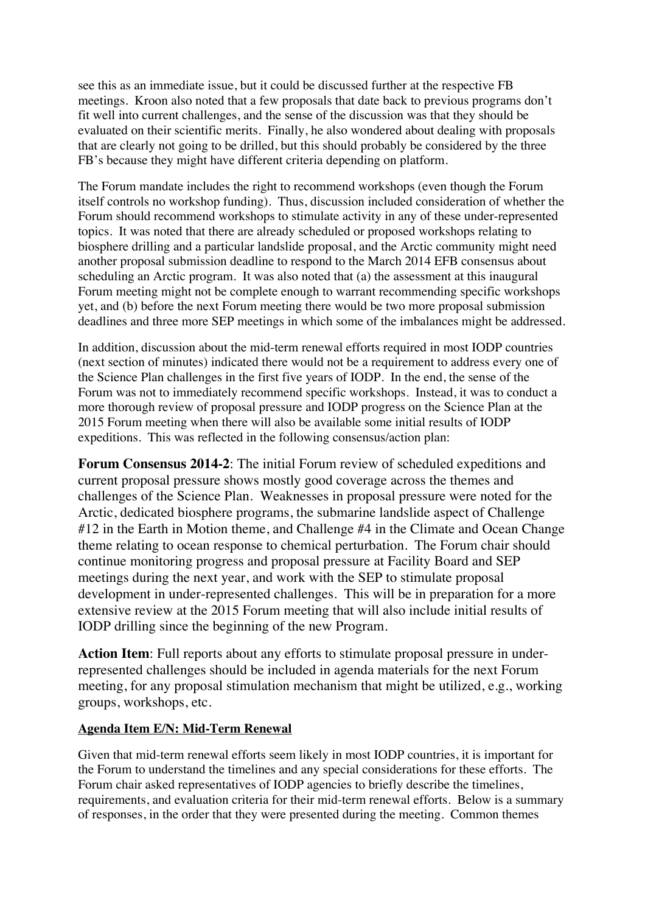see this as an immediate issue, but it could be discussed further at the respective FB meetings. Kroon also noted that a few proposals that date back to previous programs don't fit well into current challenges, and the sense of the discussion was that they should be evaluated on their scientific merits. Finally, he also wondered about dealing with proposals that are clearly not going to be drilled, but this should probably be considered by the three FB's because they might have different criteria depending on platform.

The Forum mandate includes the right to recommend workshops (even though the Forum itself controls no workshop funding). Thus, discussion included consideration of whether the Forum should recommend workshops to stimulate activity in any of these under-represented topics. It was noted that there are already scheduled or proposed workshops relating to biosphere drilling and a particular landslide proposal, and the Arctic community might need another proposal submission deadline to respond to the March 2014 EFB consensus about scheduling an Arctic program. It was also noted that (a) the assessment at this inaugural Forum meeting might not be complete enough to warrant recommending specific workshops yet, and (b) before the next Forum meeting there would be two more proposal submission deadlines and three more SEP meetings in which some of the imbalances might be addressed.

In addition, discussion about the mid-term renewal efforts required in most IODP countries (next section of minutes) indicated there would not be a requirement to address every one of the Science Plan challenges in the first five years of IODP. In the end, the sense of the Forum was not to immediately recommend specific workshops. Instead, it was to conduct a more thorough review of proposal pressure and IODP progress on the Science Plan at the 2015 Forum meeting when there will also be available some initial results of IODP expeditions. This was reflected in the following consensus/action plan:

**Forum Consensus 2014-2**: The initial Forum review of scheduled expeditions and current proposal pressure shows mostly good coverage across the themes and challenges of the Science Plan. Weaknesses in proposal pressure were noted for the Arctic, dedicated biosphere programs, the submarine landslide aspect of Challenge #12 in the Earth in Motion theme, and Challenge #4 in the Climate and Ocean Change theme relating to ocean response to chemical perturbation. The Forum chair should continue monitoring progress and proposal pressure at Facility Board and SEP meetings during the next year, and work with the SEP to stimulate proposal development in under-represented challenges. This will be in preparation for a more extensive review at the 2015 Forum meeting that will also include initial results of IODP drilling since the beginning of the new Program.

**Action Item**: Full reports about any efforts to stimulate proposal pressure in underrepresented challenges should be included in agenda materials for the next Forum meeting, for any proposal stimulation mechanism that might be utilized, e.g., working groups, workshops, etc.

#### **Agenda Item E/N: Mid-Term Renewal**

Given that mid-term renewal efforts seem likely in most IODP countries, it is important for the Forum to understand the timelines and any special considerations for these efforts. The Forum chair asked representatives of IODP agencies to briefly describe the timelines, requirements, and evaluation criteria for their mid-term renewal efforts. Below is a summary of responses, in the order that they were presented during the meeting. Common themes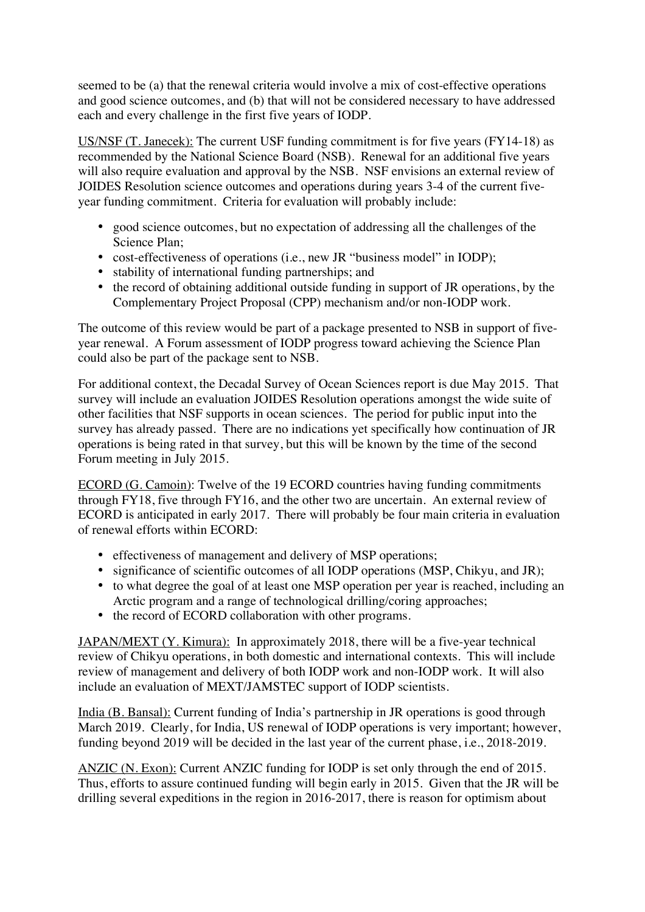seemed to be (a) that the renewal criteria would involve a mix of cost-effective operations and good science outcomes, and (b) that will not be considered necessary to have addressed each and every challenge in the first five years of IODP.

US/NSF (T. Janecek): The current USF funding commitment is for five years (FY14-18) as recommended by the National Science Board (NSB). Renewal for an additional five years will also require evaluation and approval by the NSB. NSF envisions an external review of JOIDES Resolution science outcomes and operations during years 3-4 of the current fiveyear funding commitment. Criteria for evaluation will probably include:

- good science outcomes, but no expectation of addressing all the challenges of the Science Plan;
- cost-effectiveness of operations (i.e., new JR "business model" in IODP);
- stability of international funding partnerships; and
- the record of obtaining additional outside funding in support of JR operations, by the Complementary Project Proposal (CPP) mechanism and/or non-IODP work.

The outcome of this review would be part of a package presented to NSB in support of fiveyear renewal. A Forum assessment of IODP progress toward achieving the Science Plan could also be part of the package sent to NSB.

For additional context, the Decadal Survey of Ocean Sciences report is due May 2015. That survey will include an evaluation JOIDES Resolution operations amongst the wide suite of other facilities that NSF supports in ocean sciences. The period for public input into the survey has already passed. There are no indications yet specifically how continuation of JR operations is being rated in that survey, but this will be known by the time of the second Forum meeting in July 2015.

ECORD (G. Camoin): Twelve of the 19 ECORD countries having funding commitments through FY18, five through FY16, and the other two are uncertain. An external review of ECORD is anticipated in early 2017. There will probably be four main criteria in evaluation of renewal efforts within ECORD:

- effectiveness of management and delivery of MSP operations;
- significance of scientific outcomes of all IODP operations (MSP, Chikyu, and JR);
- to what degree the goal of at least one MSP operation per year is reached, including an Arctic program and a range of technological drilling/coring approaches;
- the record of ECORD collaboration with other programs.

JAPAN/MEXT (Y. Kimura): In approximately 2018, there will be a five-year technical review of Chikyu operations, in both domestic and international contexts. This will include review of management and delivery of both IODP work and non-IODP work. It will also include an evaluation of MEXT/JAMSTEC support of IODP scientists.

India (B. Bansal): Current funding of India's partnership in JR operations is good through March 2019. Clearly, for India, US renewal of IODP operations is very important; however, funding beyond 2019 will be decided in the last year of the current phase, i.e., 2018-2019.

ANZIC (N. Exon): Current ANZIC funding for IODP is set only through the end of 2015. Thus, efforts to assure continued funding will begin early in 2015. Given that the JR will be drilling several expeditions in the region in 2016-2017, there is reason for optimism about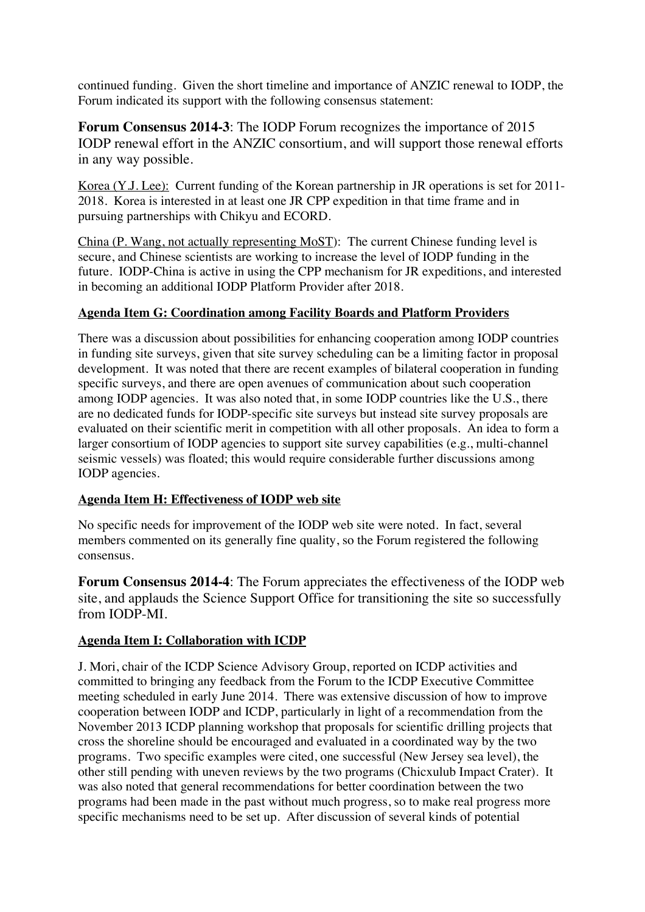continued funding. Given the short timeline and importance of ANZIC renewal to IODP, the Forum indicated its support with the following consensus statement:

**Forum Consensus 2014-3**: The IODP Forum recognizes the importance of 2015 IODP renewal effort in the ANZIC consortium, and will support those renewal efforts in any way possible.

Korea (Y.J. Lee): Current funding of the Korean partnership in JR operations is set for 2011- 2018. Korea is interested in at least one JR CPP expedition in that time frame and in pursuing partnerships with Chikyu and ECORD.

China (P. Wang, not actually representing MoST): The current Chinese funding level is secure, and Chinese scientists are working to increase the level of IODP funding in the future. IODP-China is active in using the CPP mechanism for JR expeditions, and interested in becoming an additional IODP Platform Provider after 2018.

## **Agenda Item G: Coordination among Facility Boards and Platform Providers**

There was a discussion about possibilities for enhancing cooperation among IODP countries in funding site surveys, given that site survey scheduling can be a limiting factor in proposal development. It was noted that there are recent examples of bilateral cooperation in funding specific surveys, and there are open avenues of communication about such cooperation among IODP agencies. It was also noted that, in some IODP countries like the U.S., there are no dedicated funds for IODP-specific site surveys but instead site survey proposals are evaluated on their scientific merit in competition with all other proposals. An idea to form a larger consortium of IODP agencies to support site survey capabilities (e.g., multi-channel seismic vessels) was floated; this would require considerable further discussions among IODP agencies.

#### **Agenda Item H: Effectiveness of IODP web site**

No specific needs for improvement of the IODP web site were noted. In fact, several members commented on its generally fine quality, so the Forum registered the following consensus.

**Forum Consensus 2014-4**: The Forum appreciates the effectiveness of the IODP web site, and applauds the Science Support Office for transitioning the site so successfully from IODP-MI.

#### **Agenda Item I: Collaboration with ICDP**

J. Mori, chair of the ICDP Science Advisory Group, reported on ICDP activities and committed to bringing any feedback from the Forum to the ICDP Executive Committee meeting scheduled in early June 2014. There was extensive discussion of how to improve cooperation between IODP and ICDP, particularly in light of a recommendation from the November 2013 ICDP planning workshop that proposals for scientific drilling projects that cross the shoreline should be encouraged and evaluated in a coordinated way by the two programs. Two specific examples were cited, one successful (New Jersey sea level), the other still pending with uneven reviews by the two programs (Chicxulub Impact Crater). It was also noted that general recommendations for better coordination between the two programs had been made in the past without much progress, so to make real progress more specific mechanisms need to be set up. After discussion of several kinds of potential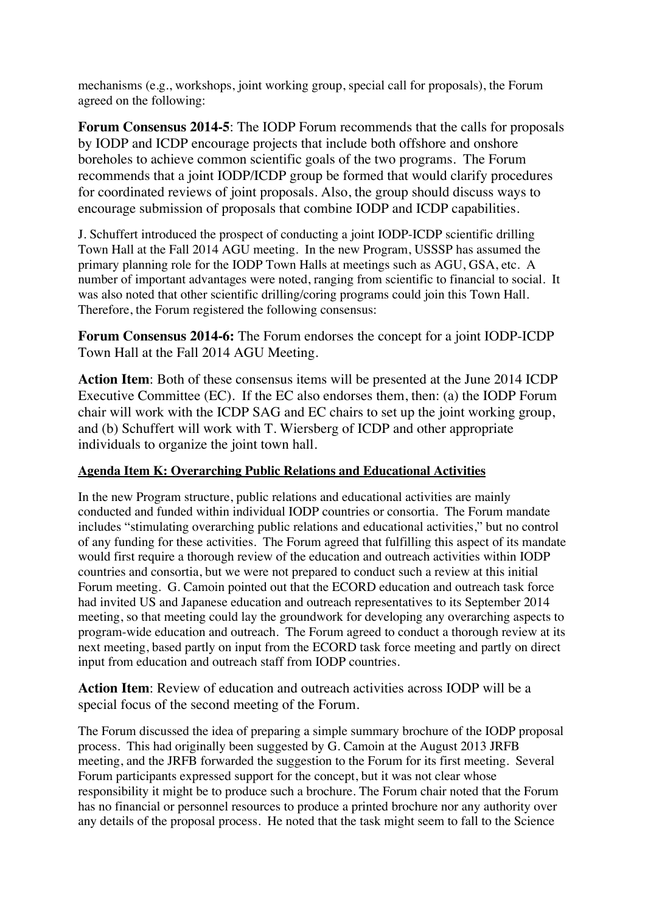mechanisms (e.g., workshops, joint working group, special call for proposals), the Forum agreed on the following:

**Forum Consensus 2014-5**: The IODP Forum recommends that the calls for proposals by IODP and ICDP encourage projects that include both offshore and onshore boreholes to achieve common scientific goals of the two programs. The Forum recommends that a joint IODP/ICDP group be formed that would clarify procedures for coordinated reviews of joint proposals. Also, the group should discuss ways to encourage submission of proposals that combine IODP and ICDP capabilities.

J. Schuffert introduced the prospect of conducting a joint IODP-ICDP scientific drilling Town Hall at the Fall 2014 AGU meeting. In the new Program, USSSP has assumed the primary planning role for the IODP Town Halls at meetings such as AGU, GSA, etc. A number of important advantages were noted, ranging from scientific to financial to social. It was also noted that other scientific drilling/coring programs could join this Town Hall. Therefore, the Forum registered the following consensus:

**Forum Consensus 2014-6:** The Forum endorses the concept for a joint IODP-ICDP Town Hall at the Fall 2014 AGU Meeting.

**Action Item**: Both of these consensus items will be presented at the June 2014 ICDP Executive Committee (EC). If the EC also endorses them, then: (a) the IODP Forum chair will work with the ICDP SAG and EC chairs to set up the joint working group, and (b) Schuffert will work with T. Wiersberg of ICDP and other appropriate individuals to organize the joint town hall.

# **Agenda Item K: Overarching Public Relations and Educational Activities**

In the new Program structure, public relations and educational activities are mainly conducted and funded within individual IODP countries or consortia. The Forum mandate includes "stimulating overarching public relations and educational activities," but no control of any funding for these activities. The Forum agreed that fulfilling this aspect of its mandate would first require a thorough review of the education and outreach activities within IODP countries and consortia, but we were not prepared to conduct such a review at this initial Forum meeting. G. Camoin pointed out that the ECORD education and outreach task force had invited US and Japanese education and outreach representatives to its September 2014 meeting, so that meeting could lay the groundwork for developing any overarching aspects to program-wide education and outreach. The Forum agreed to conduct a thorough review at its next meeting, based partly on input from the ECORD task force meeting and partly on direct input from education and outreach staff from IODP countries.

**Action Item**: Review of education and outreach activities across IODP will be a special focus of the second meeting of the Forum.

The Forum discussed the idea of preparing a simple summary brochure of the IODP proposal process. This had originally been suggested by G. Camoin at the August 2013 JRFB meeting, and the JRFB forwarded the suggestion to the Forum for its first meeting. Several Forum participants expressed support for the concept, but it was not clear whose responsibility it might be to produce such a brochure. The Forum chair noted that the Forum has no financial or personnel resources to produce a printed brochure nor any authority over any details of the proposal process. He noted that the task might seem to fall to the Science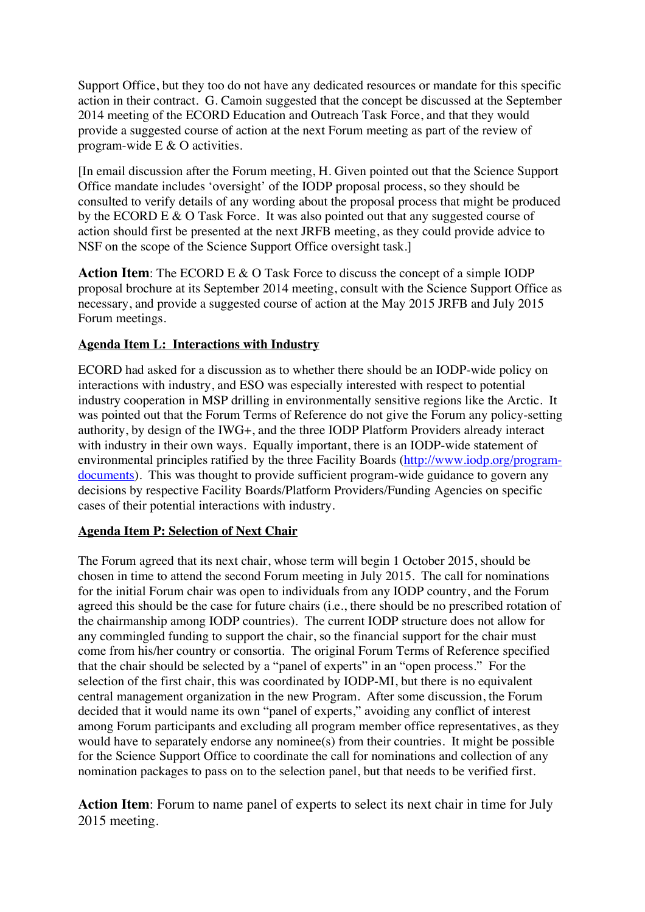Support Office, but they too do not have any dedicated resources or mandate for this specific action in their contract. G. Camoin suggested that the concept be discussed at the September 2014 meeting of the ECORD Education and Outreach Task Force, and that they would provide a suggested course of action at the next Forum meeting as part of the review of program-wide E & O activities.

[In email discussion after the Forum meeting, H. Given pointed out that the Science Support Office mandate includes 'oversight' of the IODP proposal process, so they should be consulted to verify details of any wording about the proposal process that might be produced by the ECORD E & O Task Force. It was also pointed out that any suggested course of action should first be presented at the next JRFB meeting, as they could provide advice to NSF on the scope of the Science Support Office oversight task.]

Action Item: The ECORD E & O Task Force to discuss the concept of a simple IODP proposal brochure at its September 2014 meeting, consult with the Science Support Office as necessary, and provide a suggested course of action at the May 2015 JRFB and July 2015 Forum meetings.

#### **Agenda Item L: Interactions with Industry**

ECORD had asked for a discussion as to whether there should be an IODP-wide policy on interactions with industry, and ESO was especially interested with respect to potential industry cooperation in MSP drilling in environmentally sensitive regions like the Arctic. It was pointed out that the Forum Terms of Reference do not give the Forum any policy-setting authority, by design of the IWG+, and the three IODP Platform Providers already interact with industry in their own ways. Equally important, there is an IODP-wide statement of environmental principles ratified by the three Facility Boards (http://www.iodp.org/programdocuments). This was thought to provide sufficient program-wide guidance to govern any decisions by respective Facility Boards/Platform Providers/Funding Agencies on specific cases of their potential interactions with industry.

#### **Agenda Item P: Selection of Next Chair**

The Forum agreed that its next chair, whose term will begin 1 October 2015, should be chosen in time to attend the second Forum meeting in July 2015. The call for nominations for the initial Forum chair was open to individuals from any IODP country, and the Forum agreed this should be the case for future chairs (i.e., there should be no prescribed rotation of the chairmanship among IODP countries). The current IODP structure does not allow for any commingled funding to support the chair, so the financial support for the chair must come from his/her country or consortia. The original Forum Terms of Reference specified that the chair should be selected by a "panel of experts" in an "open process." For the selection of the first chair, this was coordinated by IODP-MI, but there is no equivalent central management organization in the new Program. After some discussion, the Forum decided that it would name its own "panel of experts," avoiding any conflict of interest among Forum participants and excluding all program member office representatives, as they would have to separately endorse any nominee(s) from their countries. It might be possible for the Science Support Office to coordinate the call for nominations and collection of any nomination packages to pass on to the selection panel, but that needs to be verified first.

**Action Item**: Forum to name panel of experts to select its next chair in time for July 2015 meeting.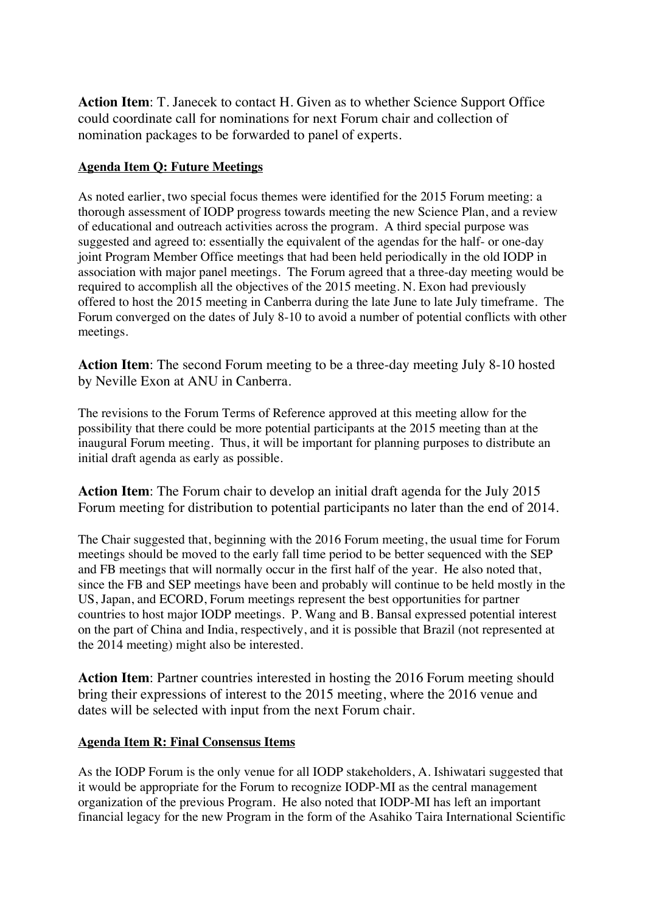**Action Item**: T. Janecek to contact H. Given as to whether Science Support Office could coordinate call for nominations for next Forum chair and collection of nomination packages to be forwarded to panel of experts.

#### **Agenda Item Q: Future Meetings**

As noted earlier, two special focus themes were identified for the 2015 Forum meeting: a thorough assessment of IODP progress towards meeting the new Science Plan, and a review of educational and outreach activities across the program. A third special purpose was suggested and agreed to: essentially the equivalent of the agendas for the half- or one-day joint Program Member Office meetings that had been held periodically in the old IODP in association with major panel meetings. The Forum agreed that a three-day meeting would be required to accomplish all the objectives of the 2015 meeting. N. Exon had previously offered to host the 2015 meeting in Canberra during the late June to late July timeframe. The Forum converged on the dates of July 8-10 to avoid a number of potential conflicts with other meetings.

**Action Item**: The second Forum meeting to be a three-day meeting July 8-10 hosted by Neville Exon at ANU in Canberra.

The revisions to the Forum Terms of Reference approved at this meeting allow for the possibility that there could be more potential participants at the 2015 meeting than at the inaugural Forum meeting. Thus, it will be important for planning purposes to distribute an initial draft agenda as early as possible.

**Action Item**: The Forum chair to develop an initial draft agenda for the July 2015 Forum meeting for distribution to potential participants no later than the end of 2014.

The Chair suggested that, beginning with the 2016 Forum meeting, the usual time for Forum meetings should be moved to the early fall time period to be better sequenced with the SEP and FB meetings that will normally occur in the first half of the year. He also noted that, since the FB and SEP meetings have been and probably will continue to be held mostly in the US, Japan, and ECORD, Forum meetings represent the best opportunities for partner countries to host major IODP meetings. P. Wang and B. Bansal expressed potential interest on the part of China and India, respectively, and it is possible that Brazil (not represented at the 2014 meeting) might also be interested.

**Action Item**: Partner countries interested in hosting the 2016 Forum meeting should bring their expressions of interest to the 2015 meeting, where the 2016 venue and dates will be selected with input from the next Forum chair.

#### **Agenda Item R: Final Consensus Items**

As the IODP Forum is the only venue for all IODP stakeholders, A. Ishiwatari suggested that it would be appropriate for the Forum to recognize IODP-MI as the central management organization of the previous Program. He also noted that IODP-MI has left an important financial legacy for the new Program in the form of the Asahiko Taira International Scientific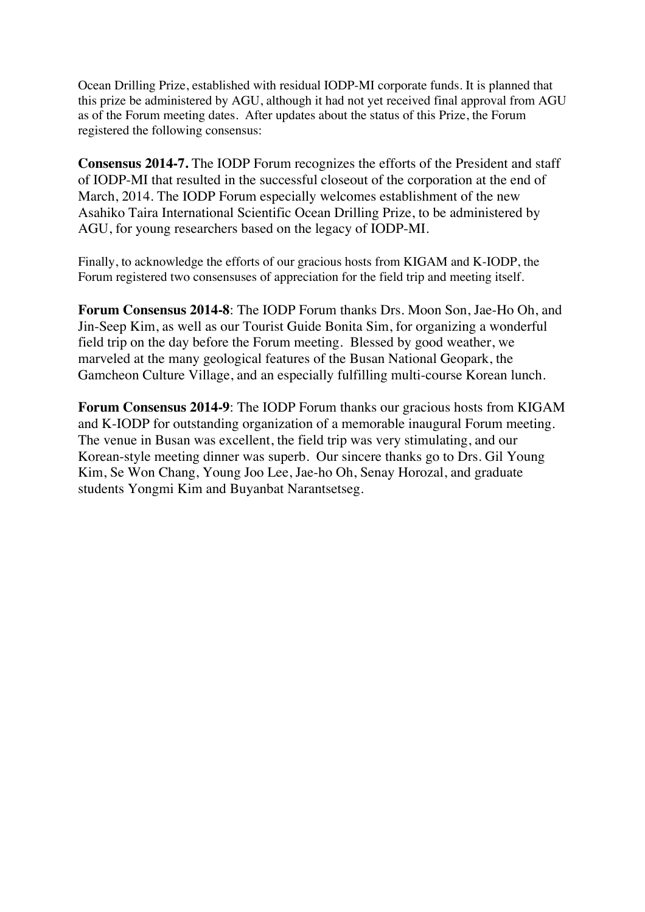Ocean Drilling Prize, established with residual IODP-MI corporate funds. It is planned that this prize be administered by AGU, although it had not yet received final approval from AGU as of the Forum meeting dates. After updates about the status of this Prize, the Forum registered the following consensus:

**Consensus 2014-7.** The IODP Forum recognizes the efforts of the President and staff of IODP-MI that resulted in the successful closeout of the corporation at the end of March, 2014. The IODP Forum especially welcomes establishment of the new Asahiko Taira International Scientific Ocean Drilling Prize, to be administered by AGU, for young researchers based on the legacy of IODP-MI.

Finally, to acknowledge the efforts of our gracious hosts from KIGAM and K-IODP, the Forum registered two consensuses of appreciation for the field trip and meeting itself.

**Forum Consensus 2014-8**: The IODP Forum thanks Drs. Moon Son, Jae-Ho Oh, and Jin-Seep Kim, as well as our Tourist Guide Bonita Sim, for organizing a wonderful field trip on the day before the Forum meeting. Blessed by good weather, we marveled at the many geological features of the Busan National Geopark, the Gamcheon Culture Village, and an especially fulfilling multi-course Korean lunch.

**Forum Consensus 2014-9**: The IODP Forum thanks our gracious hosts from KIGAM and K-IODP for outstanding organization of a memorable inaugural Forum meeting. The venue in Busan was excellent, the field trip was very stimulating, and our Korean-style meeting dinner was superb. Our sincere thanks go to Drs. Gil Young Kim, Se Won Chang, Young Joo Lee, Jae-ho Oh, Senay Horozal, and graduate students Yongmi Kim and Buyanbat Narantsetseg.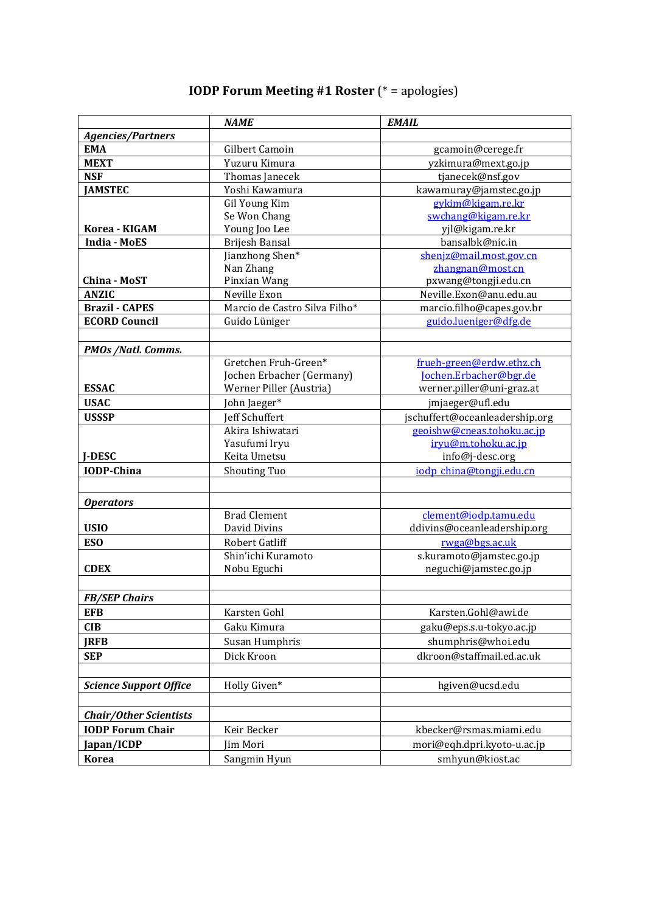# **IODP Forum Meeting #1 Roster** (\* = apologies)

|                               | <b>NAME</b>                   | <b>EMAIL</b>                   |
|-------------------------------|-------------------------------|--------------------------------|
| <b>Agencies/Partners</b>      |                               |                                |
| <b>EMA</b>                    | Gilbert Camoin                | gcamoin@cerege.fr              |
| <b>MEXT</b>                   | Yuzuru Kimura                 | yzkimura@mext.go.jp            |
| <b>NSF</b>                    | Thomas Janecek                | tjanecek@nsf.gov               |
| <b>JAMSTEC</b>                | Yoshi Kawamura                | kawamuray@jamstec.go.jp        |
|                               | Gil Young Kim                 | gykim@kigam.re.kr              |
|                               | Se Won Chang                  | swchang@kigam.re.kr            |
| Korea - KIGAM                 | Young Joo Lee                 | yjl@kigam.re.kr                |
| <b>India - MoES</b>           | Brijesh Bansal                | bansalbk@nic.in                |
|                               | Jianzhong Shen*               | shenjz@mail.most.gov.cn        |
|                               | Nan Zhang                     | zhangnan@most.cn               |
| China - MoST                  | Pinxian Wang                  | pxwang@tongji.edu.cn           |
| <b>ANZIC</b>                  | Neville Exon                  | Neville.Exon@anu.edu.au        |
| <b>Brazil - CAPES</b>         | Marcio de Castro Silva Filho* | marcio.filho@capes.gov.br      |
| <b>ECORD Council</b>          | Guido Lüniger                 | guido.lueniger@dfg.de          |
|                               |                               |                                |
| <b>PMOs /Natl. Comms.</b>     |                               |                                |
|                               | Gretchen Fruh-Green*          | frueh-green@erdw.ethz.ch       |
|                               | Jochen Erbacher (Germany)     | Jochen.Erbacher@bgr.de         |
| <b>ESSAC</b>                  | Werner Piller (Austria)       | werner.piller@uni-graz.at      |
| <b>USAC</b>                   | John Jaeger*                  | jmjaeger@ufl.edu               |
| <b>USSSP</b>                  | <b>Jeff Schuffert</b>         | jschuffert@oceanleadership.org |
|                               | Akira Ishiwatari              | geoishw@cneas.tohoku.ac.jp     |
|                               | Yasufumi Iryu                 | iryu@m.tohoku.ac.jp            |
| <b>J-DESC</b>                 | Keita Umetsu                  | info@j-desc.org                |
| <b>IODP-China</b>             | Shouting Tuo                  | iodp_china@tongji.edu.cn       |
|                               |                               |                                |
| <b>Operators</b>              |                               |                                |
|                               | <b>Brad Clement</b>           | clement@iodp.tamu.edu          |
| <b>USIO</b>                   | David Divins                  | ddivins@oceanleadership.org    |
| <b>ESO</b>                    | Robert Gatliff                | rwga@bgs.ac.uk                 |
|                               | Shin'ichi Kuramoto            | s.kuramoto@jamstec.go.jp       |
| <b>CDEX</b>                   | Nobu Eguchi                   | neguchi@jamstec.go.jp          |
|                               |                               |                                |
| <b>FB/SEP Chairs</b>          |                               |                                |
| EFB                           | Karsten Gohl                  | Karsten.Gohl@awi.de            |
| CIB                           | Gaku Kimura                   | gaku@eps.s.u-tokyo.ac.jp       |
| JRFB                          | Susan Humphris                | shumphris@whoi.edu             |
| <b>SEP</b>                    | Dick Kroon                    | dkroon@staffmail.ed.ac.uk      |
|                               |                               |                                |
| <b>Science Support Office</b> | Holly Given*                  | hgiven@ucsd.edu                |
|                               |                               |                                |
|                               |                               |                                |
| <b>Chair/Other Scientists</b> |                               |                                |
| <b>IODP Forum Chair</b>       | Keir Becker                   | kbecker@rsmas.miami.edu        |
| Japan/ICDP                    | Jim Mori                      | mori@eqh.dpri.kyoto-u.ac.jp    |
| <b>Korea</b>                  | Sangmin Hyun                  | smhyun@kiost.ac                |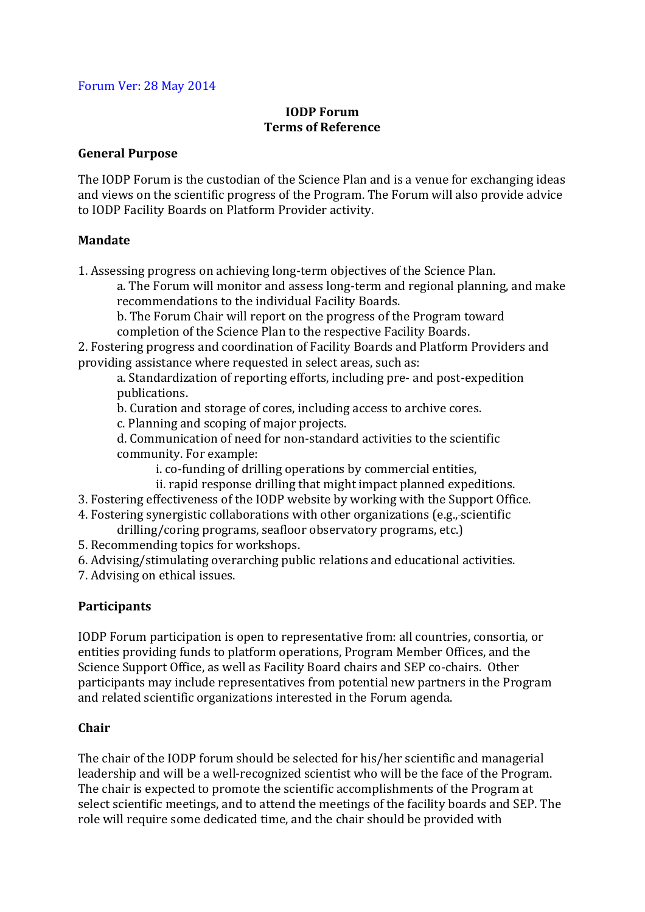#### Forum Ver: 28 May 2014

## **IODP** Forum **Terms of Reference**

#### **General Purpose**

The IODP Forum is the custodian of the Science Plan and is a venue for exchanging ideas and views on the scientific progress of the Program. The Forum will also provide advice to IODP Facility Boards on Platform Provider activity.

#### **Mandate**

1. Assessing progress on achieving long-term objectives of the Science Plan.

a. The Forum will monitor and assess long-term and regional planning, and make recommendations to the individual Facility Boards.

b. The Forum Chair will report on the progress of the Program toward completion of the Science Plan to the respective Facility Boards.

2. Fostering progress and coordination of Facility Boards and Platform Providers and providing assistance where requested in select areas, such as:

a. Standardization of reporting efforts, including pre- and post-expedition publications.

b. Curation and storage of cores, including access to archive cores.

c. Planning and scoping of major projects.

d. Communication of need for non-standard activities to the scientific community. For example:

i. co-funding of drilling operations by commercial entities,

ii. rapid response drilling that might impact planned expeditions.

3. Fostering effectiveness of the IODP website by working with the Support Office.

- 4. Fostering synergistic collaborations with other organizations (e.g., scientific drilling/coring programs, seafloor observatory programs, etc.)
- 5. Recommending topics for workshops.

6. Advising/stimulating overarching public relations and educational activities.

7. Advising on ethical issues.

#### **Participants**

IODP Forum participation is open to representative from: all countries, consortia, or entities providing funds to platform operations, Program Member Offices, and the Science Support Office, as well as Facility Board chairs and SEP co-chairs. Other participants may include representatives from potential new partners in the Program and related scientific organizations interested in the Forum agenda.

#### **Chair**

The chair of the IODP forum should be selected for his/her scientific and managerial leadership and will be a well-recognized scientist who will be the face of the Program. The chair is expected to promote the scientific accomplishments of the Program at select scientific meetings, and to attend the meetings of the facility boards and SEP. The role will require some dedicated time, and the chair should be provided with